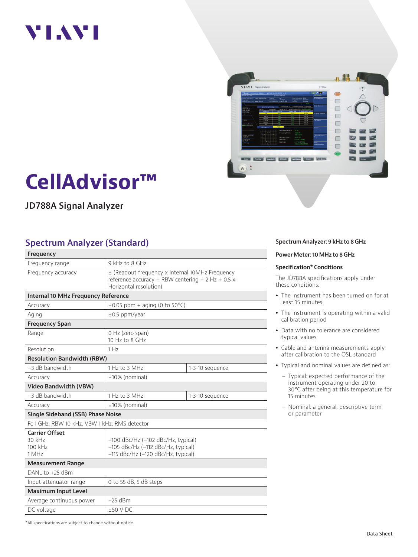# VI.WI



# **CellAdvisor™**

**JD788A Signal Analyzer**

#### **Spectrum Analyzer (Standard)**

| Frequency                                           |                                                                                                                                  |                 |  |
|-----------------------------------------------------|----------------------------------------------------------------------------------------------------------------------------------|-----------------|--|
| Frequency range                                     | 9 kHz to 8 GHz                                                                                                                   |                 |  |
| Frequency accuracy                                  | ± (Readout frequency x Internal 10MHz Frequency<br>reference accuracy + RBW centering + $2$ Hz + 0.5 x<br>Horizontal resolution) |                 |  |
| Internal 10 MHz Frequency Reference                 |                                                                                                                                  |                 |  |
| Accuracy                                            | $\pm 0.05$ ppm + aging (0 to 50 °C)                                                                                              |                 |  |
| Aging                                               | $\pm 0.5$ ppm/year                                                                                                               |                 |  |
| <b>Frequency Span</b>                               |                                                                                                                                  |                 |  |
| Range                                               | 0 Hz (zero span)<br>10 Hz to 8 GHz                                                                                               |                 |  |
| Resolution                                          | 1 Hz                                                                                                                             |                 |  |
| <b>Resolution Bandwidth (RBW)</b>                   |                                                                                                                                  |                 |  |
| $-3$ dB bandwidth                                   | 1 Hz to 3 MHz                                                                                                                    | 1-3-10 sequence |  |
| Accuracy                                            | $±10\%$ (nominal)                                                                                                                |                 |  |
| <b>Video Bandwidth (VBW)</b>                        |                                                                                                                                  |                 |  |
| $-3$ dB bandwidth                                   | 1 Hz to 3 MHz                                                                                                                    | 1-3-10 sequence |  |
| Accuracy                                            | ±10% (nominal)                                                                                                                   |                 |  |
| <b>Single Sideband (SSB) Phase Noise</b>            |                                                                                                                                  |                 |  |
| Fc 1 GHz, RBW 10 kHz, VBW 1 kHz, RMS detector       |                                                                                                                                  |                 |  |
| <b>Carrier Offset</b><br>30 kHz<br>100 kHz<br>1 MHz | $-100$ dBc/Hz ( $-102$ dBc/Hz, typical)<br>$-105$ dBc/Hz ( $-112$ dBc/Hz, typical)<br>-115 dBc/Hz (-120 dBc/Hz, typical)         |                 |  |
| <b>Measurement Range</b>                            |                                                                                                                                  |                 |  |
| DANL to +25 dBm                                     |                                                                                                                                  |                 |  |
| Input attenuator range<br>0 to 55 dB, 5 dB steps    |                                                                                                                                  |                 |  |
| <b>Maximum Input Level</b>                          |                                                                                                                                  |                 |  |
| Average continuous power                            | $+25$ dBm                                                                                                                        |                 |  |
| DC voltage                                          | $+50$ V DC                                                                                                                       |                 |  |

**Spectrum Analyzer: 9 kHz to 8 GHz**

**Power Meter: 10 MHz to 8 GHz** 

#### **Specification\* Conditions**

The JD788A specifications apply under these conditions:

- The instrument has been turned on for at least 15 minutes
- The instrument is operating within a valid calibration period
- Data with no tolerance are considered typical values
- Cable and antenna measurements apply after calibration to the OSL standard
- Typical and nominal values are defined as:
	- Typical: expected performance of the instrument operating under 20 to 30°C after being at this temperature for 15 minutes
	- Nominal: a general, descriptive term or parameter

\*All specifications are subject to change without notice.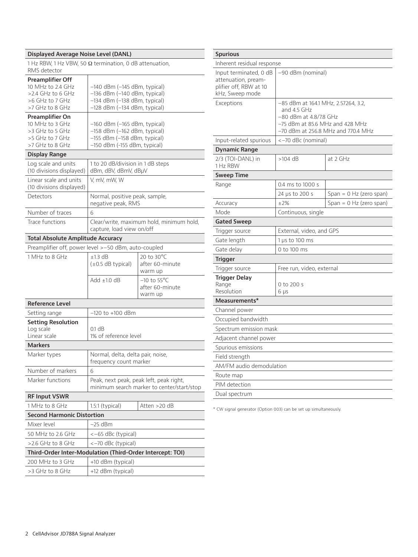#### **Displayed Average Noise Level (DANL)**

1 Hz RBW, 1 Hz VBW, 50 Ω termination, 0 dB attenuation, RMS detector

| <b>Preamplifier Off</b>                                   |                                                                                       |                                          |  |
|-----------------------------------------------------------|---------------------------------------------------------------------------------------|------------------------------------------|--|
| 10 MHz to 2.4 GHz                                         | $-140$ dBm ( $-145$ dBm, typical)                                                     |                                          |  |
| $>$ 2.4 GHz to 6 GHz                                      | -136 dBm (-140 dBm, typical)                                                          |                                          |  |
| >6 GHz to 7 GHz<br>>7 GHz to 8 GHz                        | $-134$ dBm ( $-138$ dBm, typical)                                                     |                                          |  |
|                                                           | -128 dBm (-134 dBm, typical)                                                          |                                          |  |
| Preamplifier On<br>10 MHz to 3 GHz                        | $-160$ dBm ( $-165$ dBm, typical)                                                     |                                          |  |
| >3 GHz to 5 GHz                                           | -158 dBm (-162 dBm, typical)                                                          |                                          |  |
| >5 GHz to 7 GHz                                           | $-155$ dBm ( $-158$ dBm, typical)                                                     |                                          |  |
| >7 GHz to 8 GHz                                           | -150 dBm (-155 dBm, typical)                                                          |                                          |  |
| Display Range                                             |                                                                                       |                                          |  |
| Log scale and units<br>(10 divisions displayed)           | 1 to 20 dB/division in 1 dB steps<br>dBm, dBV, dBmV, dBµV                             |                                          |  |
| Linear scale and units<br>(10 divisions displayed)        | V, mV, mW, W                                                                          |                                          |  |
| Detectors                                                 | Normal, positive peak, sample,<br>negative peak, RMS                                  |                                          |  |
| Number of traces                                          | 6                                                                                     |                                          |  |
| Trace functions                                           | capture, load view on/off                                                             | Clear/write, maximum hold, minimum hold, |  |
| <b>Total Absolute Amplitude Accuracy</b>                  |                                                                                       |                                          |  |
| Preamplifier off, power level >-50 dBm, auto-coupled      |                                                                                       |                                          |  |
| 1 MHz to 8 GHz                                            | $±1.3$ dB                                                                             | 20 to 30°C                               |  |
|                                                           | $(\pm 0.5$ dB typical)                                                                | after 60-minute                          |  |
|                                                           |                                                                                       | warm up                                  |  |
|                                                           | Add $\pm 1.0$ dB                                                                      | $-10$ to 55 $^{\circ}$ C                 |  |
|                                                           |                                                                                       | after 60-minute                          |  |
|                                                           |                                                                                       | warm up                                  |  |
| <b>Reference Level</b>                                    |                                                                                       |                                          |  |
| Setting range                                             | –120 to +100 dBm                                                                      |                                          |  |
| <b>Setting Resolution</b>                                 |                                                                                       |                                          |  |
| Log scale<br>Linear scale                                 | 0.1 dB<br>1% of reference level                                                       |                                          |  |
|                                                           |                                                                                       |                                          |  |
| <b>Markers</b>                                            |                                                                                       |                                          |  |
| Marker types                                              | Normal, delta, delta pair, noise,<br>frequency count marker                           |                                          |  |
| Number of markers                                         | 6                                                                                     |                                          |  |
| Marker functions                                          | Peak, next peak, peak left, peak right,<br>minimum search marker to center/start/stop |                                          |  |
| <b>RF Input VSWR</b>                                      |                                                                                       |                                          |  |
| 1 MHz to 8 GHz                                            | $1.5:1$ (typical)                                                                     | Atten >20 dB                             |  |
| <b>Second Harmonic Distortion</b>                         |                                                                                       |                                          |  |
| Mixer level                                               | $-25$ dBm                                                                             |                                          |  |
| 50 MHz to 2.6 GHz                                         | <-65 dBc (typical)                                                                    |                                          |  |
| $>2.6$ GHz to 8 GHz                                       | <-70 dBc (typical)                                                                    |                                          |  |
| Third-Order Inter-Modulation (Third-Order Intercept: TOI) |                                                                                       |                                          |  |
| 200 MHz to 3 GHz                                          | +10 dBm (typical)                                                                     |                                          |  |
| >3 GHz to 8 GHz                                           | +12 dBm (typical)                                                                     |                                          |  |
|                                                           |                                                                                       |                                          |  |

| <b>Spurious</b>                                                                                                                                             |                                                                                                                                                         |                           |               |  |  |
|-------------------------------------------------------------------------------------------------------------------------------------------------------------|---------------------------------------------------------------------------------------------------------------------------------------------------------|---------------------------|---------------|--|--|
| Inherent residual response                                                                                                                                  |                                                                                                                                                         |                           |               |  |  |
| Input terminated, 0 dB<br>attenuation, pream-<br>plifier off, RBW at 10<br>kHz, Sweep mode                                                                  | -90 dBm (nominal)                                                                                                                                       |                           |               |  |  |
| Exceptions                                                                                                                                                  | -85 dBm at 164.1 MHz, 2.57264, 3.2,<br>and 4.5 GHz<br>-80 dBm at 4.8/7.8 GHz<br>$-75$ dBm at 85.6 MHz and 428 MHz<br>-70 dBm at 256.8 MHz and 770.4 MHz |                           |               |  |  |
| Input-related spurious                                                                                                                                      | <-70 dBc (nominal)                                                                                                                                      |                           |               |  |  |
| <b>Dynamic Range</b>                                                                                                                                        |                                                                                                                                                         |                           |               |  |  |
| 2/3 (TOI-DANL) in<br>1 Hz RBW                                                                                                                               | $>104$ dB                                                                                                                                               | at 2 GHz                  |               |  |  |
| <b>Sweep Time</b>                                                                                                                                           |                                                                                                                                                         |                           |               |  |  |
| Range                                                                                                                                                       | 0.4 ms to 1000 s                                                                                                                                        |                           |               |  |  |
|                                                                                                                                                             | 24 µs to 200 s                                                                                                                                          | Span = $0$ Hz (zero span) |               |  |  |
| Accuracy                                                                                                                                                    | ±2%                                                                                                                                                     | Span = $0$ Hz (zero span) |               |  |  |
| Mode<br>Continuous, single                                                                                                                                  |                                                                                                                                                         |                           |               |  |  |
| <b>Gated Sweep</b>                                                                                                                                          |                                                                                                                                                         |                           |               |  |  |
| Trigger source                                                                                                                                              | External, video, and GPS                                                                                                                                |                           |               |  |  |
| Gate length                                                                                                                                                 | 1 µs to 100 ms                                                                                                                                          |                           |               |  |  |
| Gate delay                                                                                                                                                  | 0 to 100 ms                                                                                                                                             |                           |               |  |  |
| Trigger                                                                                                                                                     |                                                                                                                                                         |                           |               |  |  |
| Trigger source                                                                                                                                              | Free run, video, external                                                                                                                               |                           |               |  |  |
| Trigger Delay<br>Range<br>Resolution                                                                                                                        | 0 to 200 s<br>6 µs                                                                                                                                      |                           |               |  |  |
| Measurements*                                                                                                                                               |                                                                                                                                                         |                           |               |  |  |
| Channel power<br>Occupied bandwidth<br>Spectrum emission mask<br>Adjacent channel power<br>Spurious emissions<br>Field strength<br>AM/FM audio demodulation |                                                                                                                                                         |                           |               |  |  |
|                                                                                                                                                             |                                                                                                                                                         |                           | Route map     |  |  |
|                                                                                                                                                             |                                                                                                                                                         |                           | PIM detection |  |  |
|                                                                                                                                                             |                                                                                                                                                         |                           | Dual spectrum |  |  |

\* CW signal generator (Option 003) can be set up simultaneously.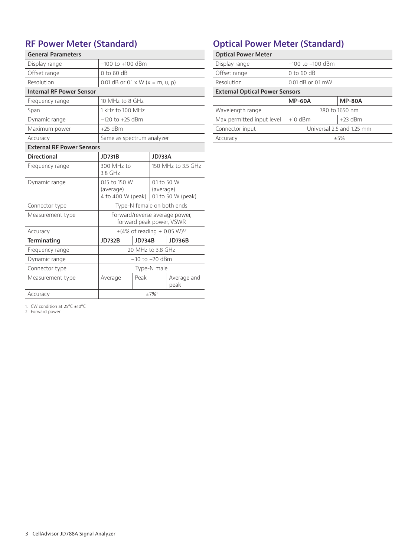#### **RF Power Meter (Standard)**

| <b>General Parameters</b>        |                                                            |               |                          |                    |
|----------------------------------|------------------------------------------------------------|---------------|--------------------------|--------------------|
| Display range                    | $-100$ to $+100$ dBm                                       |               |                          |                    |
| Offset range                     | $0$ to 60 dB                                               |               |                          |                    |
| Resolution                       | 0.01 dB or 0.1 x W ( $x = m$ , u, p)                       |               |                          |                    |
| <b>Internal RF Power Sensor</b>  |                                                            |               |                          |                    |
| Frequency range                  | 10 MHz to 8 GHz                                            |               |                          |                    |
| Span                             | 1 kHz to 100 MHz                                           |               |                          |                    |
| Dynamic range                    | $-120$ to $+25$ dBm                                        |               |                          |                    |
| Maximum power                    | $+25$ dBm                                                  |               |                          |                    |
| Accuracy                         | Same as spectrum analyzer                                  |               |                          |                    |
| <b>External RF Power Sensors</b> |                                                            |               |                          |                    |
| <b>Directional</b>               | <b>JD731B</b>                                              |               | <b>JD733A</b>            |                    |
| Frequency range                  | 300 MHz to<br>3.8 GHz                                      |               |                          | 150 MHz to 3.5 GHz |
| Dynamic range                    | 0.15 to 150 W<br>(average)<br>4 to 400 W (peak)            |               | 0.1 to 50 W<br>(average) | 0.1 to 50 W (peak) |
| Connector type                   | Type-N female on both ends                                 |               |                          |                    |
| Measurement type                 | Forward/reverse average power,<br>forward peak power, VSWR |               |                          |                    |
| Accuracy                         | $\pm$ (4% of reading + 0.05 W) <sup>1,2</sup>              |               |                          |                    |
| <b>Terminating</b>               | <b>JD732B</b>                                              | <b>JD734B</b> |                          | <b>JD736B</b>      |
| Frequency range                  | 20 MHz to 3.8 GHz                                          |               |                          |                    |
| Dynamic range                    | $-30$ to $+20$ dBm                                         |               |                          |                    |
| Connector type                   | Type-N male                                                |               |                          |                    |
| Measurement type                 | Peak<br>Average and<br>Average<br>peak                     |               |                          |                    |
| Accuracy                         | $±7\%$ <sup>1</sup>                                        |               |                          |                    |

#### **Optical Power Meter (Standard)**

| <b>Optical Power Meter</b>            |                           |               |  |  |
|---------------------------------------|---------------------------|---------------|--|--|
| Display range                         | $-100$ to $+100$ dBm      |               |  |  |
| Offset range                          | $0$ to 60 dB              |               |  |  |
| Resolution                            | 0.01 dB or 0.1 mW         |               |  |  |
| <b>External Optical Power Sensors</b> |                           |               |  |  |
|                                       | <b>MP-60A</b>             | <b>MP-80A</b> |  |  |
| Wavelength range                      | 780 to 1650 nm            |               |  |  |
| Max permitted input level             | $+10$ dBm                 | $+23$ dBm     |  |  |
| Connector input                       | Universal 2.5 and 1.25 mm |               |  |  |
| Accuracy<br>$+5%$                     |                           |               |  |  |

1. CW condition at 25°C ±10°C 2. Forward power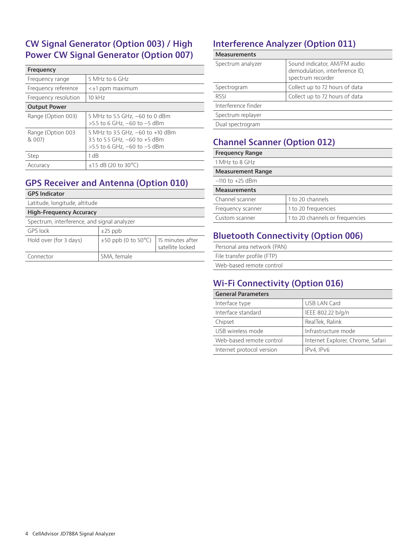#### **CW Signal Generator (Option 003) / High Power CW Signal Generator (Option 007)**

| Frequency                   |                                                                                                   |
|-----------------------------|---------------------------------------------------------------------------------------------------|
| Frequency range             | 5 MHz to 6 GHz                                                                                    |
| Frequency reference         | $\leq \pm 1$ ppm maximum                                                                          |
| Frequency resolution        | $10$ kHz                                                                                          |
| <b>Output Power</b>         |                                                                                                   |
| Range (Option 003)          | 5 MHz to 5.5 GHz, –60 to 0 dBm<br>$>5.5$ to 6 GHz, $-60$ to $-5$ dBm                              |
| Range (Option 003<br>& 007) | 5 MHz to 3.5 GHz, -60 to +10 dBm<br>3.5 to 5.5 GHz, -60 to +5 dBm<br>>5.5 to 6 GHz, -60 to -5 dBm |
| Step                        | 1 dB                                                                                              |
| Accuracy                    | $\pm$ 1.5 dB (20 to 30 °C)                                                                        |

#### **GPS Receiver and Antenna (Option 010)**

|  | Latitude, longitude, altitude |  |
|--|-------------------------------|--|
|  |                               |  |

| <b>High-Frequency Accuracy</b>              |                                                        |                  |  |  |
|---------------------------------------------|--------------------------------------------------------|------------------|--|--|
| Spectrum, interference, and signal analyzer |                                                        |                  |  |  |
| GPS lock                                    | $\pm 25$ ppb                                           |                  |  |  |
| Hold over (for 3 days)                      | $\pm$ 50 ppb (0 to 50 $^{\circ}$ C)   15 minutes after | satellite locked |  |  |
| Connector                                   | SMA, female                                            |                  |  |  |

# **Interference Analyzer (Option 011)**

| <b>Measurements</b> |                                                                                     |
|---------------------|-------------------------------------------------------------------------------------|
| Spectrum analyzer   | Sound indicator, AM/FM audio<br>demodulation, interference ID,<br>spectrum recorder |
| Spectrogram         | Collect up to 72 hours of data                                                      |
| <b>RSSI</b>         | Collect up to 72 hours of data                                                      |
| Interference finder |                                                                                     |
| Spectrum replayer   |                                                                                     |
| Dual spectrogram    |                                                                                     |

# **Channel Scanner (Option 012)**

| <b>Frequency Range</b>   |                                 |
|--------------------------|---------------------------------|
| 1 MHz to 8 GHz           |                                 |
| <b>Measurement Range</b> |                                 |
| $-110$ to $+25$ dBm      |                                 |
| <b>Measurements</b>      |                                 |
| Channel scanner          | 1 to 20 channels                |
| Frequency scanner        | 1 to 20 frequencies             |
| Custom scanner           | 1 to 20 channels or frequencies |

### **Bluetooth Connectivity (Option 006)**

| Personal area network (PAN) |
|-----------------------------|
| File transfer profile (FTP) |
| Web-based remote control    |

### **Wi-Fi Connectivity (Option 016)**

| <b>General Parameters</b> |                                   |
|---------------------------|-----------------------------------|
| Interface type            | <b>USB LAN Card</b>               |
| Interface standard        | IEEE 802.22 b/g/n                 |
| Chipset                   | RealTek, Ralink                   |
| USB wireless mode         | Infrastructure mode               |
| Web-based remote control  | Internet Explorer, Chrome, Safari |
| Internet protocol version | IPv4. IPv6                        |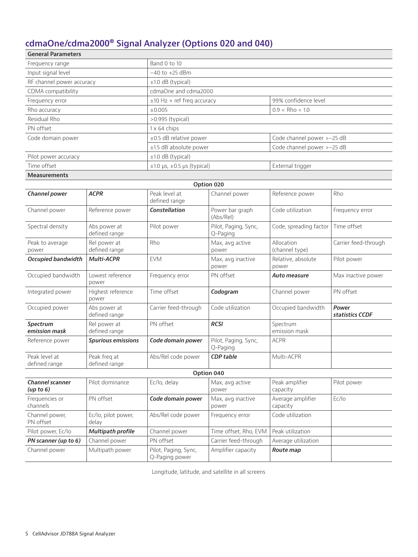# **cdmaOne/cdma2000® Signal Analyzer (Options 020 and 040)**

| <b>General Parameters</b> |                                      |                            |  |
|---------------------------|--------------------------------------|----------------------------|--|
| Frequency range           | Band 0 to 10                         |                            |  |
| Input signal level        | $-40$ to $+25$ dBm                   |                            |  |
| RF channel power accuracy | $±1.0$ dB (typical)                  |                            |  |
| CDMA compatibility        | cdmaOne and cdma2000                 |                            |  |
| Frequency error           | $\pm$ 10 Hz + ref freg accuracy      | 99% confidence level       |  |
| Rho accuracy              | ±0.005                               | $0.9 <$ Rho < 1.0          |  |
| Residual Rho              | $>0.995$ (typical)                   |                            |  |
| PN offset                 | 1 x 64 chips                         |                            |  |
| Code domain power         | $\pm 0.5$ dB relative power          | Code channel power >-25 dB |  |
|                           | ±1.5 dB absolute power               | Code channel power >-25 dB |  |
| Pilot power accuracy      | $\pm 1.0$ dB (typical)               |                            |  |
| Time offset               | $\pm 1.0$ µs, $\pm 0.5$ µs (typical) | External trigger           |  |
| <b>Measurements</b>       |                                      |                            |  |

|                                        | Option 020                    |                                |                                  |                              |                          |  |
|----------------------------------------|-------------------------------|--------------------------------|----------------------------------|------------------------------|--------------------------|--|
| Channel power                          | <b>ACPR</b>                   | Peak level at<br>defined range | Channel power                    | Reference power              | Rho                      |  |
| Channel power                          | Reference power               | <b>Constellation</b>           | Power bar graph<br>(Abs/Rel)     | Code utilization             | Frequency error          |  |
| Spectral density                       | Abs power at<br>defined range | Pilot power                    | Pilot, Paging, Sync,<br>Q-Paging | Code, spreading factor       | Time offset              |  |
| Peak to average<br>power               | Rel power at<br>defined range | Rho                            | Max, avg active<br>power         | Allocation<br>(channel type) | Carrier feed-through     |  |
| <b>Occupied bandwidth</b>              | <b>Multi-ACPR</b>             | <b>FVM</b>                     | Max, avg inactive<br>power       | Relative, absolute<br>power  | Pilot power              |  |
| Occupied bandwidth                     | Lowest reference<br>power     | Frequency error                | PN offset                        | Auto measure                 | Max inactive power       |  |
| Integrated power                       | Highest reference<br>power    | Time offset                    | Codogram                         | Channel power                | PN offset                |  |
| Occupied power                         | Abs power at<br>defined range | Carrier feed-through           | Code utilization                 | Occupied bandwidth           | Power<br>statistics CCDF |  |
| Spectrum<br>emission mask              | Rel power at<br>defined range | PN offset                      | <b>RCSI</b>                      | Spectrum<br>emission mask    |                          |  |
| Reference power                        | <b>Spurious emissions</b>     | Code domain power              | Pilot, Paging, Sync,<br>Q-Paging | <b>ACPR</b>                  |                          |  |
| Peak level at<br>defined range         | Peak freq at<br>defined range | Abs/Rel code power             | <b>CDP</b> table                 | Multi-ACPR                   |                          |  |
|                                        | Option 040                    |                                |                                  |                              |                          |  |
| <b>Channel scanner</b><br>(up to $6$ ) | Pilot dominance               | Ec/lo, delay                   | Max, avg active<br>power         | Peak amplifier<br>capacity   | Pilot power              |  |

| (up to 6)                   |                              |                                        | power                      | capacity                      |       |
|-----------------------------|------------------------------|----------------------------------------|----------------------------|-------------------------------|-------|
| Frequencies or<br>channels  | PN offset                    | Code domain power                      | Max, avg inactive<br>power | Average amplifier<br>capacity | Ec/lo |
| Channel power,<br>PN offset | Ec/lo, pilot power,<br>delav | Abs/Rel code power                     | Frequency error            | Code utilization              |       |
| Pilot power, Ec/lo          | <b>Multipath profile</b>     | Channel power                          | Time offset, Rho, EVM      | Peak utilization              |       |
| PN scanner (up to 6)        | Channel power                | PN offset                              | Carrier feed-through       | Average utilization           |       |
| Channel power               | Multipath power              | Pilot, Paging, Sync,<br>Q-Paging power | Amplifier capacity         | Route map                     |       |

Longitude, latitude, and satellite in all screens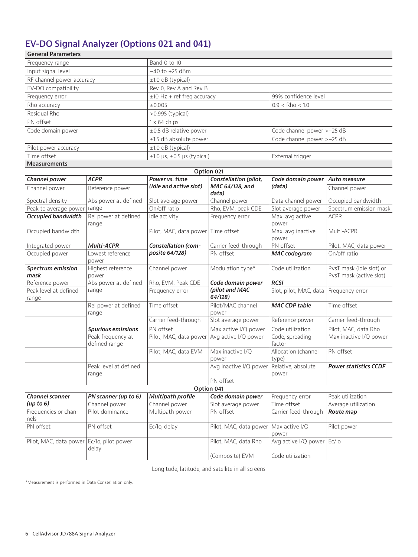# **EV-DO Signal Analyzer (Options 021 and 041)**

| <b>General Parameters</b> |                                      |                            |  |
|---------------------------|--------------------------------------|----------------------------|--|
| Frequency range           | Band 0 to 10                         |                            |  |
| Input signal level        | $-40$ to $+25$ dBm                   |                            |  |
| RF channel power accuracy | $\pm 1.0$ dB (typical)               |                            |  |
| EV-DO compatibility       | Rev 0, Rev A and Rev B               |                            |  |
| Frequency error           | $±10$ Hz + ref freg accuracy         | 99% confidence level       |  |
| Rho accuracy              | ±0.005                               | $0.9 <$ Rho < 1.0          |  |
| Residual Rho              | $>0.995$ (typical)                   |                            |  |
| PN offset                 | 1 x 64 chips                         |                            |  |
| Code domain power         | $\pm 0.5$ dB relative power          | Code channel power >-25 dB |  |
|                           | $±1.5$ dB absolute power             | Code channel power >-25 dB |  |
| Pilot power accuracy      | $±1.0$ dB (typical)                  |                            |  |
| Time offset               | $\pm 1.0$ µs, $\pm 0.5$ µs (typical) | External trigger           |  |
| <b>Measurements</b>       |                                      |                            |  |

|                                  |                                    |                            | Option 021                   |                             |                                                     |
|----------------------------------|------------------------------------|----------------------------|------------------------------|-----------------------------|-----------------------------------------------------|
| Channel power                    | <b>ACPR</b>                        | Power vs. time             | Constellation (pilot,        | Code domain power           | Auto measure                                        |
| Channel power                    | Reference power                    | (idle and active slot)     | MAC 64/128, and<br>data)     | (data)                      | Channel power                                       |
| Spectral density                 | Abs power at defined               | Slot average power         | Channel power                | Data channel power          | Occupied bandwidth                                  |
| Peak to average power            | range                              | On/off ratio               | Rho, EVM, peak CDE           | Slot average power          | Spectrum emission mask                              |
| Occupied bandwidth               | Rel power at defined<br>range      | Idle activity              | Frequency error              | Max, avg active<br>power    | <b>ACPR</b>                                         |
| Occupied bandwidth               |                                    | Pilot, MAC, data power     | Time offset                  | Max, avg inactive<br>power  | Multi-ACPR                                          |
| Integrated power                 | Multi-ACPR                         | <b>Constellation (com-</b> | Carrier feed-through         | PN offset                   | Pilot, MAC, data power                              |
| Occupied power                   | Lowest reference<br>power          | posite 64/128)             | PN offset                    | <b>MAC</b> codogram         | On/off ratio                                        |
| <b>Spectrum emission</b><br>mask | Highest reference<br>power         | Channel power              | Modulation type*             | Code utilization            | PvsT mask (idle slot) or<br>PvsT mask (active slot) |
| Reference power                  | Abs power at defined               | Rho, EVM, Peak CDE         | Code domain power            | <b>RCSI</b>                 |                                                     |
| Peak level at defined<br>range   | range                              | Frequency error            | (pilot and MAC<br>64/128     | Slot, pilot, MAC, data      | Frequency error                                     |
| range                            | Rel power at defined               | Time offset                | Pilot/MAC channel<br>power   | <b>MAC CDP table</b>        | Time offset                                         |
|                                  |                                    | Carrier feed-through       | Slot average power           | Reference power             | Carrier feed-through                                |
|                                  | <b>Spurious emissions</b>          | PN offset                  | Max active I/Q power         | Code utilization            | Pilot, MAC, data Rho                                |
|                                  | Peak frequency at<br>defined range | Pilot, MAC, data power     | Avg active I/Q power         | Code, spreading<br>factor   | Max inactive I/Q power                              |
|                                  | Pilot, MAC, data EVM               | Max inactive I/Q<br>power  | Allocation (channel<br>type) | PN offset                   |                                                     |
|                                  | Peak level at defined<br>range     |                            | Avg inactive I/Q power       | Relative, absolute<br>power | <b>Power statistics CCDF</b>                        |
|                                  |                                    |                            | PN offset                    |                             |                                                     |
|                                  |                                    |                            | Option 041                   |                             |                                                     |
| <b>Channel scanner</b>           | PN scanner (up to 6)               | <b>Multipath profile</b>   | Code domain power            | Frequency error             | Peak utilization                                    |
| (up to 6)                        | Channel power                      | Channel power              | Slot average power           | Time offset                 | Average utilization                                 |
| Frequencies or chan-<br>nels     | Pilot dominance                    | Multipath power            | PN offset                    | Carrier feed-through        | Route map                                           |
| PN offset                        | PN offset                          | Ec/lo, delay               | Pilot, MAC, data power       | Max active I/Q<br>power     | Pilot power                                         |
| Pilot, MAC, data power           | Ec/lo, pilot power,<br>delay       |                            | Pilot, MAC, data Rho         | Avg active I/Q power        | Ec/lo                                               |
|                                  |                                    |                            | (Composite) EVM              | Code utilization            |                                                     |

Longitude, latitude, and satellite in all screens

\*Measurement is performed in Data Constellation only.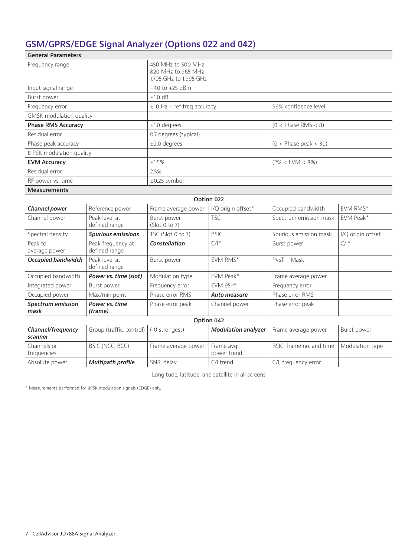# **GSM/GPRS/EDGE Signal Analyzer (Options 022 and 042)**

| <b>General Parameters</b> |                                    |                                                                    |                         |                         |                   |
|---------------------------|------------------------------------|--------------------------------------------------------------------|-------------------------|-------------------------|-------------------|
| Frequency range           |                                    | 450 MHz to 500 MHz<br>820 MHz to 965 MHz<br>1.705 GHz to 1.995 GHz |                         |                         |                   |
| Input signal range        |                                    | $-40$ to $+25$ dBm                                                 |                         |                         |                   |
| Burst power               |                                    | $+1.0$ dB                                                          |                         |                         |                   |
| Frequency error           |                                    | $±10$ Hz + ref freq accuracy                                       |                         | 99% confidence level    |                   |
| GMSK modulation quality   |                                    |                                                                    |                         |                         |                   |
| <b>Phase RMS Accuracy</b> |                                    | $±1.0$ degrees                                                     |                         | $(0 <$ Phase RMS $<$ 8) |                   |
| Residual error            |                                    | 0.7 degrees (typical)                                              |                         |                         |                   |
| Phase peak accuracy       |                                    | $±2.0$ degrees                                                     |                         | $(0 <$ Phase peak < 30) |                   |
| 8 PSK modulation quality  |                                    |                                                                    |                         |                         |                   |
| <b>EVM Accuracy</b>       |                                    | $+1.5%$                                                            |                         | $(2\% <$ EVM $<$ 8%)    |                   |
| Residual error            |                                    | 2.5%                                                               |                         |                         |                   |
| RF power vs. time         |                                    | $\pm 0.25$ symbol                                                  |                         |                         |                   |
| <b>Measurements</b>       |                                    |                                                                    |                         |                         |                   |
|                           |                                    |                                                                    | Option 022              |                         |                   |
| Channel power             | Reference power                    | Frame average power                                                | I/Q origin offset*      | Occupied bandwidth      | <b>EVM RMS*</b>   |
| Channel power             | Peak level at<br>defined range     | Burst power<br>(Slot 0 to 7)                                       | <b>TSC</b>              | Spectrum emission mask  | EVM Peak*         |
| Spectral density          | <b>Spurious emissions</b>          | TSC (Slot 0 to 7)                                                  | <b>BSIC</b>             | Spurious emission mask  | I/Q origin offset |
| Peak to<br>average power  | Peak frequency at<br>defined range | Constellation                                                      | $C/I^*$                 | Burst power             | $C/I^*$           |
| <b>Occupied bandwidth</b> | Peak level at<br>defined range     | Burst power                                                        | EVM RMS*                |                         |                   |
| Occupied bandwidth        | Power vs. time (slot)              | Modulation type                                                    | FVM Peak*               | Frame average power     |                   |
| Integrated power          | Burst power                        | Frequency error                                                    | $FVM$ 95 <sup>th*</sup> | Frequency error         |                   |
| Occupied power            | Max/min point                      | Phase error RMS                                                    | Auto measure            | Phase error RMS         |                   |
| Spectrum emission<br>mask | Power vs. time<br>(frame)          | Phase error peak                                                   | Channel power           | Phase error peak        |                   |

| Option 042        |                                           |                     |                            |                          |                 |
|-------------------|-------------------------------------------|---------------------|----------------------------|--------------------------|-----------------|
| Channel/frequency | Group (traffic, control)   (10 strongest) |                     | <b>Modulation analyzer</b> | Frame average power      | Burst power     |
| scanner           |                                           |                     |                            |                          |                 |
| Channels or       | BSIC (NCC, BCC)                           | Frame average power | Frame avg                  | BSIC, frame no. and time | Modulation type |
| frequencies       |                                           |                     | power trend                |                          |                 |
| Absolute power    | <b>Multipath profile</b>                  | SNR, delay          | $C/I$ trend                | C/I, frequency error     |                 |

Longitude, latitude, and satellite in all screens

\* Measurements performed for 8PSK modulation signals (EDGE) only.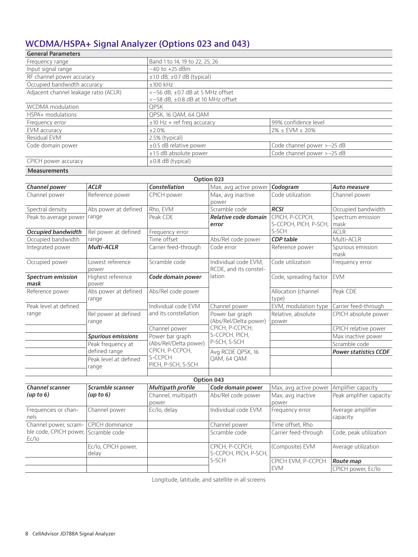# **WCDMA/HSPA+ Signal Analyzer (Options 023 and 043)**

| <b>General Parameters</b>             |                                                                              |                            |  |  |
|---------------------------------------|------------------------------------------------------------------------------|----------------------------|--|--|
| Frequency range                       | Band 1 to 14, 19 to 22, 25, 26                                               |                            |  |  |
| Input signal range                    | $-40$ to $+25$ dBm                                                           |                            |  |  |
| RF channel power accuracy             | $\pm$ 1.0 dB, $\pm$ 0.7 dB (typical)                                         |                            |  |  |
| Occupied bandwidth accuracy           | $±100$ kHz                                                                   |                            |  |  |
| Adjacent channel leakage ratio (ACLR) | $<-56$ dB, $\pm 0.7$ dB at 5 MHz offset<br><-58 dB, ±0.8 dB at 10 MHz offset |                            |  |  |
| WCDMA modulation                      | <b>OPSK</b>                                                                  |                            |  |  |
| HSPA+ modulations                     | QPSK, 16 QAM, 64 QAM                                                         |                            |  |  |
| Frequency error                       | $±10$ Hz + ref freg accuracy                                                 | 99% confidence level       |  |  |
| EVM accuracy                          | ±2.0%                                                                        | $2\% \le$ EVM $\le$ 20%    |  |  |
| Residual EVM                          | 2.5% (typical)                                                               |                            |  |  |
| Code domain power                     | $\pm 0.5$ dB relative power                                                  | Code channel power >-25 dB |  |  |
|                                       | $±1.5$ dB absolute power                                                     | Code channel power >-25 dB |  |  |
| CPICH power accuracy                  | $\pm 0.8$ dB (typical)                                                       |                            |  |  |

#### **Measurements**

| Option 023                |                           |                       |                        |                        |                              |
|---------------------------|---------------------------|-----------------------|------------------------|------------------------|------------------------------|
| Channel power             | <b>ACLR</b>               | Constellation         | Max, avg active power  | Codogram               | Auto measure                 |
| Channel power             | Reference power           | CPICH power           | Max, avg inactive      | Code utilization       | Channel power                |
|                           |                           |                       | power                  |                        |                              |
| Spectral density          | Abs power at defined      | Rho, EVM              | Scramble code          | <b>RCSI</b>            | Occupied bandwidth           |
| Peak to average power     | range                     | Peak CDE              | Relative code domain   | CPICH, P-CCPCH,        | Spectrum emission            |
|                           |                           |                       | error                  | S-CCPCH, PICH, P-SCH,  | mask                         |
| <b>Occupied bandwidth</b> | Rel power at defined      | Frequency error       |                        | S-SCH                  | <b>ACLR</b>                  |
| Occupied bandwidth        | range                     | Time offset           | Abs/Rel code power     | CDP table              | Multi-ACLR                   |
| Integrated power          | <b>Multi-ACLR</b>         | Carrier feed-through  | Code error             | Reference power        | Spurious emission            |
|                           |                           |                       |                        |                        | mask                         |
| Occupied power            | Lowest reference          | Scramble code         | Individual code EVM,   | Code utilization       | Frequency error              |
|                           | power                     |                       | RCDE, and its constel- |                        |                              |
| Spectrum emission         | Highest reference         | Code domain power     | lation                 | Code, spreading factor | <b>EVM</b>                   |
| mask                      | power                     |                       |                        |                        |                              |
| Reference power           | Abs power at defined      | Abs/Rel code power    |                        | Allocation (channel    | Peak CDE                     |
|                           | range                     |                       |                        | type)                  |                              |
| Peak level at defined     |                           | Individual code FVM   | Channel power          | EVM, modulation type   | Carrier feed-through         |
| range                     | Rel power at defined      | and its constellation | Power bar graph        | Relative, absolute     | CPICH absolute power         |
|                           | range                     |                       | (Abs/Rel/Delta power)  | power                  |                              |
|                           |                           | Channel power         | CPICH, P-CCPCH,        |                        | CPICH relative power         |
|                           | <b>Spurious emissions</b> | Power bar graph       | S-CCPCH, PICH,         |                        | Max inactive power           |
|                           | Peak frequency at         | (Abs/Rel/Delta power) | P-SCH, S-SCH           |                        | Scramble code                |
|                           | defined range             | CPICH, P-CCPCH,       | Avg RCDE QPSK, 16      |                        | <b>Power statistics CCDF</b> |
|                           | Peak level at defined     | S-CCPCH               | QAM, 64 QAM            |                        |                              |
|                           | range                     | PICH, P-SCH, S-SCH    |                        |                        |                              |
|                           |                           |                       |                        |                        |                              |

| Option 043                                    |                              |                             |                                          |                            |                               |  |
|-----------------------------------------------|------------------------------|-----------------------------|------------------------------------------|----------------------------|-------------------------------|--|
| <b>Channel scanner</b>                        | Scramble scanner             | <b>Multipath profile</b>    | Code domain power                        | Max, avg active power      | Amplifier capacity            |  |
| (up to 6)                                     | (up to 6)                    | Channel, multipath<br>power | Abs/Rel code power                       | Max, avg inactive<br>power | Peak amplifier capacity       |  |
| Frequencies or chan-<br>nels                  | Channel power                | Ec/lo, delay                | Individual code EVM                      | Frequency error            | Average amplifier<br>capacity |  |
| Channel power, scram-                         | CPICH dominance              |                             | Channel power                            | Time offset, Rho           |                               |  |
| ble code, CPICH power, Scramble code<br>Ec/lo |                              |                             | Scramble code                            | Carrier feed-through       | Code, peak utilization        |  |
|                                               | Ec/lo, CPICH power,<br>delay |                             | CPICH, P-CCPCH,<br>S-CCPCH, PICH, P-SCH, | (Composite) EVM            | Average utilization           |  |
|                                               |                              |                             | S-SCH                                    | CPICH EVM, P-CCPCH         | Route map                     |  |
|                                               |                              |                             |                                          | <b>EVM</b>                 | CPICH power, Ec/lo            |  |
|                                               |                              |                             |                                          |                            |                               |  |

Longitude, latitude, and satellite in all screens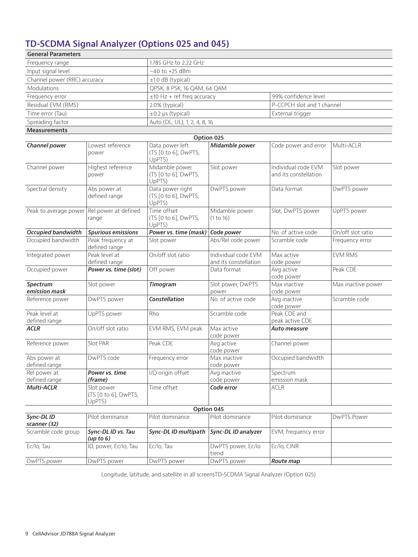#### **TD-SCDMA Signal Analyzer (Options 025 and 045)**

| <b>General Parameters</b>      |                                              |                                                    |                                      |                                              |                    |  |
|--------------------------------|----------------------------------------------|----------------------------------------------------|--------------------------------------|----------------------------------------------|--------------------|--|
| Frequency range                |                                              | 1.785 GHz to 2.22 GHz                              |                                      |                                              |                    |  |
| Input signal level             |                                              | $-40$ to $+25$ dBm                                 |                                      |                                              |                    |  |
| Channel power (RRC) accuracy   |                                              | $±1.0$ dB (typical)                                |                                      |                                              |                    |  |
| Modulations                    |                                              | QPSK, 8 PSK, 16 QAM, 64 QAM                        |                                      |                                              |                    |  |
| Frequency error                |                                              | $±10$ Hz + ref freq accuracy                       |                                      | 99% confidence level                         |                    |  |
| Residual EVM (RMS)             |                                              | 2.0% (typical)                                     |                                      | P-CCPCH slot and 1 channel                   |                    |  |
| Time error (Tau)               |                                              | $\pm 0.2$ µs (typical)                             |                                      | External trigger                             |                    |  |
| Spreading factor               |                                              | Auto (DL, UL), 1, 2, 4, 8, 16                      |                                      |                                              |                    |  |
| <b>Measurements</b>            |                                              |                                                    |                                      |                                              |                    |  |
|                                |                                              |                                                    | Option 025                           |                                              |                    |  |
| Channel power                  | Lowest reference                             | Data power left                                    | Midamble power                       | Code power and error                         | Multi-ACLR         |  |
|                                | power                                        | (TS [0 to 6], DwPTS,<br>UpPTS)                     |                                      |                                              |                    |  |
| Channel power                  | Highest reference<br>power                   | Midamble power<br>(TS [0 to 6], DwPTS,<br>UpPTS)   | Slot power                           | Individual code EVM<br>and its constellation | Slot power         |  |
| Spectral density               | Abs power at<br>defined range                | Data power right<br>(TS [0 to 6], DwPTS,<br>UpPTS) | DwPTS power                          | Data format                                  | DwPTS power        |  |
| Peak to average power          | Rel power at defined<br>range                | Time offset<br>(TS [0 to 6], DwPTS,<br>UpPTS)      | Midamble power<br>(1 to 16)          | Slot, DwPTS power                            | UpPTS power        |  |
| <b>Occupied bandwidth</b>      | <b>Spurious emissions</b>                    | Power vs. time (mask)                              | Code power                           | No. of active code                           | On/off slot ratio  |  |
| Occupied bandwidth             | Peak frequency at<br>defined range           | Slot power                                         | Abs/Rel code power                   | Scramble code                                | Frequency error    |  |
| Integrated power               | Peak level at                                | On/off slot ratio                                  | Individual code EVM                  | Max active                                   | <b>EVM RMS</b>     |  |
|                                | defined range                                |                                                    | and its constellation<br>Data format | code power                                   | Peak CDE           |  |
| Occupied power                 | Power vs. time (slot)                        | Off power                                          |                                      | Avg active<br>code power                     |                    |  |
| Spectrum<br>emission mask      | Slot power                                   | <b>Timogram</b>                                    | Slot power, DwPTS<br>power           | Max inactive<br>code power                   | Max inactive power |  |
| Reference power                | DwPTS power                                  | Constellation                                      | No. of active code                   | Avg inactive<br>code power                   | Scramble code      |  |
| Peak level at<br>defined range | UpPTS power                                  | Rho                                                | Scramble code                        | Peak CDE and<br>peak active CDE              |                    |  |
| <b>ACLR</b>                    | On/off slot ratio                            | EVM RMS, EVM peak                                  | Max active<br>code power             | Auto measure                                 |                    |  |
| Reference power                | Slot PAR                                     | Peak CDE                                           | Avg active<br>code power             | Channel power                                |                    |  |
| Abs power at<br>defined range  | DwPTS code                                   | Frequency error                                    | Max inactive<br>code power           | Occupied bandwidth                           |                    |  |
| Rel power at<br>defined range  | Power vs. time<br>(frame)                    | I/Q origin offset                                  | Avg inactive<br>code power           | Spectrum<br>emission mask                    |                    |  |
| Multi-ACLR                     | Slot power<br>(TS [0 to 6], DwPTS,<br>UpPTS) | Time offset                                        | Code error                           | <b>ACLR</b>                                  |                    |  |
|                                |                                              |                                                    | Option 045                           |                                              |                    |  |
| Sync-DL ID<br>scanner (32)     | Pilot dominance                              | Pilot dominance                                    | Pilot dominance                      | Pilot dominance                              | <b>DwPTS Power</b> |  |
| Scramble code group            | Sync-DL ID vs. Tau<br>(up to 6)              | Sync-DL ID multipath                               | Sync-DL ID analyzer                  | EVM, frequency error                         |                    |  |
| Ec/lo, Tau                     | ID, power, Ec/Io, Tau                        | Ec/lo, Tau                                         | DwPTS power, Ec/lo<br>trend          | Ec/lo, CINR                                  |                    |  |
| DwPTS power                    | DwPTS power                                  | DwPTS power                                        | DwPTS power                          | Route map                                    |                    |  |

Longitude, latitude, and satellite in all screensTD-SCDMA Signal Analyzer (Option 025)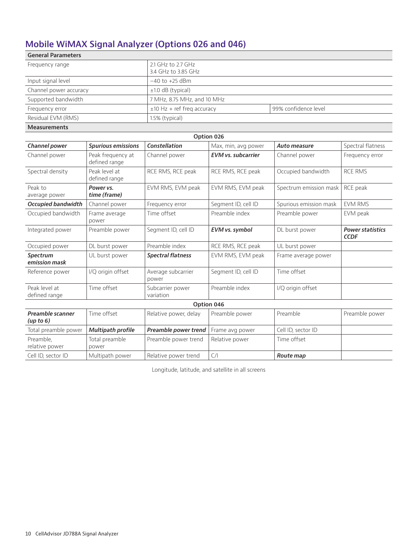# **Mobile WiMAX Signal Analyzer (Options 026 and 046)**

| <b>General Parameters</b> |                                           |                      |
|---------------------------|-------------------------------------------|----------------------|
| Frequency range           | 2.1 GHz to 2.7 GHz<br>3.4 GHz to 3.85 GHz |                      |
| Input signal level        | $-40$ to $+25$ dBm                        |                      |
| Channel power accuracy    | $±1.0$ dB (typical)                       |                      |
| Supported bandwidth       | 7 MHz, 8.75 MHz, and 10 MHz               |                      |
| Frequency error           | $\pm$ 10 Hz + ref freg accuracy           | 99% confidence level |
| Residual EVM (RMS)        | $1.5\%$ (typical)                         |                      |
| <b>Measurements</b>       |                                           |                      |

| Option 026                     |                                    |                               |                           |                        |                                        |
|--------------------------------|------------------------------------|-------------------------------|---------------------------|------------------------|----------------------------------------|
| Channel power                  | <b>Spurious emissions</b>          | Constellation                 | Max, min, avg power       | <b>Auto measure</b>    | Spectral flatness                      |
| Channel power                  | Peak frequency at<br>defined range | Channel power                 | <b>EVM</b> vs. subcarrier | Channel power          | Frequency error                        |
| Spectral density               | Peak level at<br>defined range     | RCE RMS, RCE peak             | RCE RMS, RCE peak         | Occupied bandwidth     | <b>RCE RMS</b>                         |
| Peak to<br>average power       | Power vs.<br>time (frame)          | EVM RMS, EVM peak             | EVM RMS, EVM peak         | Spectrum emission mask | RCE peak                               |
| <b>Occupied bandwidth</b>      | Channel power                      | Frequency error               | Segment ID, cell ID       | Spurious emission mask | <b>EVM RMS</b>                         |
| Occupied bandwidth             | Frame average<br>power             | Time offset                   | Preamble index            | Preamble power         | EVM peak                               |
| Integrated power               | Preamble power                     | Segment ID, cell ID           | EVM vs. symbol            | DL burst power         | <b>Power statistics</b><br><b>CCDF</b> |
| Occupied power                 | DL burst power                     | Preamble index                | RCE RMS, RCE peak         | UL burst power         |                                        |
| Spectrum<br>emission mask      | UL burst power                     | <b>Spectral flatness</b>      | EVM RMS, EVM peak         | Frame average power    |                                        |
| Reference power                | I/Q origin offset                  | Average subcarrier<br>power   | Segment ID, cell ID       | Time offset            |                                        |
| Peak level at<br>defined range | Time offset                        | Subcarrier power<br>variation | Preamble index            | I/Q origin offset      |                                        |
| Option 046                     |                                    |                               |                           |                        |                                        |
| Preamble scanner<br>(up to 6)  | Time offset                        | Relative power, delay         | Preamble power            | Preamble               | Preamble power                         |
| Total preamble power           | <b>Multipath profile</b>           | Preamble power trend          | Frame avg power           | Cell ID, sector ID     |                                        |
| Preamble,<br>relative power    | Total preamble<br>power            | Preamble power trend          | Relative power            | Time offset            |                                        |
| Cell ID, sector ID             | Multipath power                    | Relative power trend          | $\mathsf{C}/\mathsf{I}$   | Route map              |                                        |

Longitude, latitude, and satellite in all screens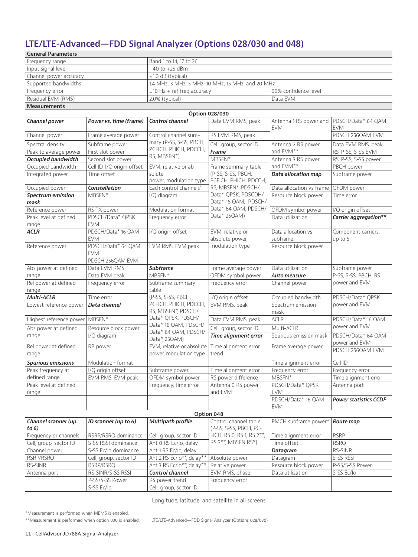# **LTE/LTE-Advanced—FDD Signal Analyzer (Options 028/030 and 048)**

| <b>General Parameters</b> |                                                   |                      |  |
|---------------------------|---------------------------------------------------|----------------------|--|
| Frequency range           | Band 1 to 14, 17 to 26                            |                      |  |
| Input signal level        | $-40$ to $+25$ dBm                                |                      |  |
| Channel power accuracy    | $\pm 1.0$ dB (typical)                            |                      |  |
| Supported bandwidths      | 1.4 MHz, 3 MHz, 5 MHz, 10 MHz, 15 MHz, and 20 MHz |                      |  |
| Frequency error           | $\pm$ 10 Hz + ref freg accuracy                   | 99% confidence level |  |
| Residual EVM (RMS)        | 2.0% (typical)                                    | Data FVM             |  |
| <b>Measurements</b>       |                                                   |                      |  |

| Option 028/030                   |                                                      |                                                        |                                                 |                                      |                                     |
|----------------------------------|------------------------------------------------------|--------------------------------------------------------|-------------------------------------------------|--------------------------------------|-------------------------------------|
| Channel power                    | Power vs. time (frame)                               | Control channel                                        | Data EVM RMS, peak                              | Antenna 1 RS power and<br><b>EVM</b> | PDSCH/Data* 64 QAM<br><b>EVM</b>    |
| Channel power                    | Frame average power                                  | Control channel sum-                                   | RS EVM RMS, peak                                |                                      | PDSCH 256QAM EVM                    |
| Spectral density                 | Subframe power                                       | mary (P-SS, S-SS, PBCH,                                | Cell, group, sector ID                          | Antenna 2 RS power                   | Data EVM RMS, peak                  |
| Peak to average power            | First slot power                                     | PCFICH, PHICH, PDCCH,                                  | Frame                                           | and EVM**                            | RS, P-SS, S-SS EVM                  |
| <b>Occupied bandwidth</b>        | Second slot power                                    | RS, MBSFN*)                                            | MBSFN*                                          | Antenna 3 RS power                   | RS, P-SS, S-SS power                |
| Occupied bandwidth               | Cell ID, I/Q origin offset                           | EVM, relative or ab-                                   | Frame summary table                             | and EVM**                            | PBCH power                          |
| Integrated power                 | Time offset                                          | solute<br>power, modulation type                       | (P-SS, S-SS, PBCH,<br>PCFICH, PHICH, PDCCH,     | Data allocation map                  | Subframe power                      |
| Occupied power                   | Constellation                                        | Each control channels'                                 | RS, MBSFN*, PDSCH/                              | Data allocation vs frame             | OFDM power                          |
| <b>Spectrum emission</b><br>mask | MBSFN*                                               | I/Q diagram                                            | Data* OPSK, PDSCDH/<br>Data* 16 QAM, PDSCH/     | Resource block power                 | Time error                          |
| Reference power                  | RS TX power                                          | Modulation format                                      | Data* 64 QAM, PDSCH/                            | OFDM symbol power                    | I/O origin offset                   |
| Peak level at defined<br>range   | PDSCH/Data* QPSK<br><b>EVM</b>                       | Frequency error                                        | Data* 25QAM)                                    | Data utilization                     | Carrier aggregation**               |
| <b>ACLR</b>                      | PDSCH/Data* 16 QAM<br><b>EVM</b>                     | I/Q origin offset                                      | EVM, relative or<br>absolute power,             | Data allocation vs<br>subframe       | Component carriers:<br>up to 5      |
| Reference power                  | PDSCH/Data* 64 QAM<br><b>EVM</b><br>PDSCH 256QAM EVM | EVM RMS, EVM peak                                      | modulation type                                 | Resource block power                 |                                     |
| Abs power at defined             | Data EVM RMS                                         | <b>Subframe</b>                                        | Frame average power                             | Data utilization                     | Subframe power                      |
| range                            | Data EVM peak                                        | MBSFN*                                                 | OFDM symbol power                               | Auto measure                         | P-SS, S-SS, PBCH, RS                |
| Rel power at defined<br>range    | Frequency error                                      | Subframe summary<br>table                              | Frequency error                                 | Channel power                        | power and EVM                       |
| Multi-ACLR                       | Time error                                           | (P-SS, S-SS, PBCH,                                     | I/Q origin offset                               | Occupied bandwidth                   | PDSCH/Data* QPSK                    |
| Lowest reference power           | Data channel                                         | PCFICH, PHICH, PDCCH,<br>RS, MBSFN*, PDSCH/            | EVM RMS, peak                                   | Spectrum emission<br>mask            | power and EVM                       |
| Highest reference power          | $MBSFN*$                                             | Data* QPSK, PDSCH/                                     | Data EVM RMS, peak                              | <b>ACLR</b>                          | PDSCH/Data* 16 QAM                  |
| Abs power at defined             | Resource block power                                 | Data* 16 QAM, PDSCH/                                   | Cell, group, sector ID                          | Multi-ACLR                           | power and EVM                       |
| range                            | I/Q diagram                                          | Data* 64 QAM, PDSCH/<br>Data* 25QAM)                   | Time alignment error                            | Spurious emission mask               | PDSCH/Data* 64 QAM<br>power and EVM |
| Rel power at defined<br>range    | RB power                                             | EVM, relative or absolute<br>power, modulation type    | Time alignment error<br>trend                   | Frame average power                  | PDSCH 256QAM EVM                    |
| <b>Spurious emissions</b>        | Modulation format                                    |                                                        |                                                 | Time alignment error                 | Cell ID                             |
| Peak frequency at                | I/Q origin offset                                    | Subframe power                                         | Time alignment error                            | Frequency error                      | Frequency error                     |
| defined range                    | EVM RMS, EVM peak                                    | OFDM symbol power                                      | RS power difference                             | MBSFN*                               | Time alignment error                |
| Peak level at defined<br>range   |                                                      | Frequency, time error<br>Antenna 0 RS power<br>and EVM |                                                 | PDSCH/Data* QPSK<br><b>EVM</b>       | Antenna port                        |
|                                  |                                                      |                                                        |                                                 | PDSCH/Data* 16 QAM<br><b>EVM</b>     | <b>Power statistics CCDF</b>        |
|                                  |                                                      |                                                        | Option 048                                      |                                      |                                     |
| Channel scanner (up<br>to 6)     | ID scanner (up to 6)                                 | <b>Multipath profile</b>                               | Control channel table<br>(P-SS, S-SS, PBCH, PC- | PMCH subframe power*   Route map     |                                     |
| Frequency or channels            | RSRP/RSRQ dominance                                  | Cell, group, sector ID                                 | FICH, RS 0, RS 1, RS 2**,                       | Time alignment error                 | <b>RSRP</b>                         |
| Cell, group, sector ID           | S-SS RSSI dominance                                  | Ant 0 RS Ec/lo, delay                                  | RS 3**, MBSFN RS*)                              | Time offset                          | <b>RSRQ</b>                         |
| Channel power                    | S-SS Ec/lo dominance                                 | Ant 1 RS Ec/lo, delay                                  |                                                 | Datagram                             | RS-SINR                             |
| RSRP/RSRQ                        | Cell, group, sector ID                               | Ant 2 RS Ec/lo**, delay**                              | Absolute power                                  | Datagram                             | S-SS RSSI                           |
| RS-SINR                          | RSRP/RSRQ                                            | Ant 3 RS Ec/lo**, delay**                              | Relative power                                  | Resource block power                 | P-SS/S-SS Power                     |
| Antenna port                     | RS-SINR/S-SS RSSI                                    | Control channel                                        | EVM RMS, phase                                  | Data utilization                     | S-SS Ec/lo                          |
|                                  | P-SS/S-SS Power                                      | RS power trend                                         | Frequency error                                 |                                      |                                     |
|                                  | S-SS Ec/lo                                           | Cell, group, sector ID                                 |                                                 |                                      |                                     |

Longitude, latitude, and satellite in all screens

\*Measurement is performed when MBMS is enabled.

\*\*Measurement is performed when option 030 is enabled. LTE/LTE-Advanced—FDD Signal Analyzer (Options 028/030)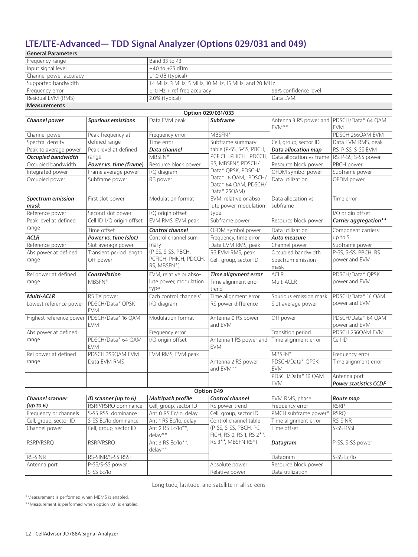#### **LTE/LTE-Advanced— TDD Signal Analyzer (Options 029/031 and 049)**

| <b>General Parameters</b> |                                                   |                      |  |
|---------------------------|---------------------------------------------------|----------------------|--|
| Frequency range           | Band 33 to 43                                     |                      |  |
| Input signal level        | $-40$ to $+25$ dBm                                |                      |  |
| Channel power accuracy    | $\pm 1.0$ dB (typical)                            |                      |  |
| Supported bandwidth       | 1.4 MHz, 3 MHz, 5 MHz, 10 MHz, 15 MHz, and 20 MHz |                      |  |
| Frequency error           | $±10$ Hz + ref freg accuracy                      | 99% confidence level |  |
| Residual EVM (RMS)        | 2.0% (typical)                                    | Data FVM             |  |
| <b>Measurements</b>       |                                                   |                      |  |

|                                  |                                  |                              | Option 029/031/033                                           |                                                    |                                     |
|----------------------------------|----------------------------------|------------------------------|--------------------------------------------------------------|----------------------------------------------------|-------------------------------------|
| Channel power                    | <b>Spurious emissions</b>        | Data EVM peak                | <b>Subframe</b>                                              | Antenna 3 RS power and PDSCH/Data* 64 QAM<br>FVM** | <b>EVM</b>                          |
| Channel power                    | Peak frequency at                | Frequency error              | MBSFN*                                                       |                                                    | PDSCH 256QAM EVM                    |
| Spectral density                 | defined range                    | Time error                   | Subframe summary                                             | Cell, group, sector ID                             | Data EVM RMS, peak                  |
| Peak to average power            | Peak level at defined            | Data channel                 | table (P-SS, S-SS, PBCH,                                     | <b>Data allocation map</b>                         | RS, P-SS, S-SS EVM                  |
| <b>Occupied bandwidth</b>        | range                            | $MBSFN*$                     | PCFICH, PHICH, PDCCH,                                        | Data allocation vs frame                           | RS, P-SS, S-SS power                |
| Occupied bandwidth               | Power vs. time (frame)           | Resource block power         | RS, MBSFN*, PDSCH/                                           | Resource block power                               | PBCH power                          |
| Integrated power                 | Frame average power              | I/Q diagram                  | Data* QPSK, PDSCH/                                           | OFDM symbol power                                  | Subframe power                      |
| Occupied power                   | Subframe power                   | RB power                     | Data* 16 QAM, PDSCH/<br>Data* 64 QAM, PDSCH/<br>Data* 25QAM) | Data utilization                                   | OFDM power                          |
| <b>Spectrum emission</b><br>mask | First slot power                 | Modulation format            | EVM, relative or abso-<br>lute power, modulation             | Data allocation vs<br>subframe                     | Time error                          |
| Reference power                  | Second slot power                | I/Q origin offset            | type                                                         |                                                    | I/Q origin offset                   |
| Peak level at defined            | Cell ID, I/Q origin offset       | EVM RMS, EVM peak            | Subframe power                                               | Resource block power                               | Carrier aggregation**               |
| range                            | Time offset                      | Control channel              | OFDM symbol power                                            | Data utilization                                   | Component carriers:                 |
| <b>ACLR</b>                      | Power vs. time (slot)            | Control channel sum-         | Frequency, time error                                        | Auto measure                                       | up to 5                             |
| Reference power                  | Slot average power               | mary                         | Data EVM RMS, peak                                           | Channel power                                      | Subframe power                      |
| Abs power at defined             | Transient period length          | (P-SS, S-SS, PBCH,           | RS EVM RMS, peak                                             | Occupied bandwidth                                 | P-SS, S-SS, PBCH, RS                |
| range                            | Off power                        | PCFICH, PHICH, PDCCH,        | Cell, group, sector ID                                       | Spectrum emission                                  | power and EVM                       |
|                                  |                                  | RS, MBSFN*)                  |                                                              | mask                                               |                                     |
| Rel power at defined             | <b>Constellation</b>             | EVM, relative or abso-       | <b>Time alignment error</b>                                  | <b>ACLR</b>                                        | PDSCH/Data* QPSK                    |
| range                            | MBSFN*                           | lute power, modulation       | Time alignment error                                         | Mult-ACLR                                          | power and EVM                       |
|                                  |                                  | type                         | trend                                                        |                                                    |                                     |
| Multi-ACLR                       | RS TX power                      | Each control channels'       | Time alignment error                                         | Spurious emission mask                             | PDSCH/Data* 16 QAM                  |
| Lowest reference power           | PDSCH/Data* QPSK<br><b>EVM</b>   | I/Q diagram                  | RS power difference                                          | Slot average power                                 | power and EVM                       |
| Highest reference power          | PDSCH/Data* 16 QAM<br><b>EVM</b> | Modulation format            | Antenna 0 RS power<br>and EVM                                | Off power                                          | PDSCH/Data* 64 QAM<br>power and EVM |
| Abs power at defined             |                                  | Frequency error              |                                                              | Transition period                                  | PDSCH 256QAM EVM                    |
| range                            | PDSCH/Data* 64 QAM<br><b>EVM</b> | I/Q origin offset            | Antenna 1 RS power and Time alignment error<br><b>EVM</b>    |                                                    | Cell ID                             |
| Rel power at defined             | PDSCH 256QAM EVM                 | EVM RMS, EVM peak            |                                                              | MBSFN*                                             | Frequency error                     |
| range                            | Data EVM RMS                     |                              | Antenna 2 RS power<br>and EVM**                              | PDSCH/Data* QPSK<br>EVM                            | Time alignment error                |
|                                  |                                  |                              |                                                              | PDSCH/Data* 16 QAM                                 | Antenna port                        |
|                                  |                                  |                              |                                                              | <b>EVM</b>                                         | <b>Power statistics CCDF</b>        |
|                                  |                                  |                              | Option 049                                                   |                                                    |                                     |
| Channel scanner                  | ID scanner (up to 6)             | Multipath profile            | Control channel                                              | EVM RMS, phase                                     | Route map                           |
| (up to 6)                        | RSRP/RSRQ dominance              | Cell, group, sector ID       | RS power trend                                               | Frequency error                                    | <b>RSRP</b>                         |
| Frequency or channels            | S-SS RSSI dominance              | Ant 0 RS Ec/lo, delay        | Cell, group, sector ID                                       | PMCH subframe power*                               | <b>RSRQ</b>                         |
| Cell, group, sector ID           | S-SS Ec/lo dominance             | Ant 1 RS Ec/lo, delay        | Control channel table                                        | Time alignment error                               | RS-SINR                             |
| Channel power                    | Cell, group, sector ID           | Ant 2 RS Ec/lo**,<br>delay** | (P-SS, S-SS, PBCH, PC-<br>FICH, RS 0, RS 1, RS 2**,          | Time offset                                        | S-SS RSSI                           |
| RSRP/RSRQ                        | RSRP/RSRQ                        | Ant 3 RS Ec/lo**,<br>delay** | RS 3**, MBSFN RS*)                                           | Datagram                                           | P-SS, S-SS power                    |
| RS-SINR                          | RS-SINR/S-SS RSSI                |                              |                                                              | Datagram                                           | S-SS Ec/lo                          |
| Antenna port                     | P-SS/S-SS power                  |                              | Absolute power                                               | Resource block power                               |                                     |
|                                  | S-SS Ec/Io                       |                              | Relative power                                               | Data utilization                                   |                                     |

Longitude, latitude, and satellite in all screens

\*Measurement is performed when MBMS is enabled.

\*\*Measurement is performed when option 031 is enabled.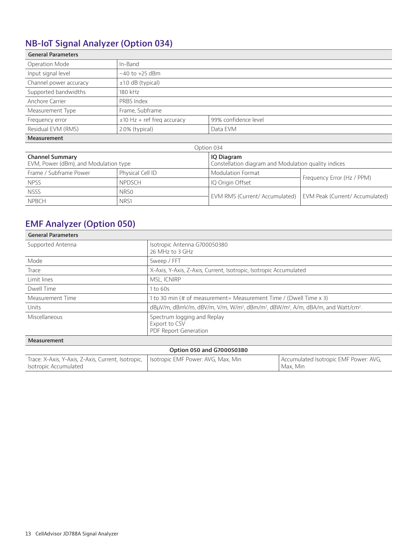# **NB-IoT Signal Analyzer (Option 034)**

| <b>General Parameters</b> |                                 |                      |  |
|---------------------------|---------------------------------|----------------------|--|
| Operation Mode            | In-Band                         |                      |  |
| Input signal level        | $-40$ to $+25$ dBm              |                      |  |
| Channel power accuracy    | $\pm 1.0$ dB (typical)          |                      |  |
| Supported bandwidths      | 180 kHz                         |                      |  |
| Anchore Carrier           | PRBS Index                      |                      |  |
| Measurement Type          | Frame, Subframe                 |                      |  |
| Frequency error           | $\pm$ 10 Hz + ref freq accuracy | 99% confidence level |  |
| Residual EVM (RMS)        | 2.0% (typical)                  | Data EVM             |  |
| <b>Measurement</b>        |                                 |                      |  |
| Option 034                |                                 |                      |  |

| <b>Channel Summary</b><br>IQ Diagram<br>EVM, Power (dBm), and Modulation type |                  | Constellation diagram and Modulation quality indices             |                            |  |
|-------------------------------------------------------------------------------|------------------|------------------------------------------------------------------|----------------------------|--|
| Frame / Subframe Power                                                        | Physical Cell ID | Modulation Format                                                | Frequency Error (Hz / PPM) |  |
| <b>NPSS</b>                                                                   | <b>NPDSCH</b>    | IQ Origin Offset                                                 |                            |  |
| <b>NSSS</b>                                                                   | NRS0             | EVM RMS (Current/ Accumulated)   EVM Peak (Current/ Accumulated) |                            |  |
| <b>NPBCH</b>                                                                  | NRS <sub>1</sub> |                                                                  |                            |  |

#### **EMF Analyzer (Option 050)**

| <b>General Parameters</b> |                                                                                                                                 |
|---------------------------|---------------------------------------------------------------------------------------------------------------------------------|
| Supported Antenna         | Isotropic Antenna G700050380<br>26 MHz to 3 GHz                                                                                 |
| Mode                      | Sweep / FFT                                                                                                                     |
| Trace                     | X-Axis, Y-Axis, Z-Axis, Current, Isotropic, Isotropic Accumulated                                                               |
| Limit lines               | MSL, ICNIRP                                                                                                                     |
| Dwell Time                | 1 to 60s                                                                                                                        |
| Measurement Time          | 1 to 30 min (# of measurement = Measurement Time / (Dwell Time x 3)                                                             |
| Units                     | dBµV/m, dBmV/m, dBV/m, V/m, W/m <sup>2</sup> , dBm/m <sup>2</sup> , dBW/m <sup>2</sup> , A/m, dBA/m, and Watt/cm <sup>2</sup> . |
| Miscellaneous             | Spectrum logging and Replay<br>Export to CSV<br>PDF Report Generation                                                           |
| Measurement               |                                                                                                                                 |

|  |  |  |  | Option 050 and G700050380 |
|--|--|--|--|---------------------------|
|--|--|--|--|---------------------------|

| Trace: X-Axis, Y-Axis, Z-Axis, Current, Isotropic, Isotropic EMF Power: AVG, Max, Min | Accumulated Isotropic EMF Power: AVG, |
|---------------------------------------------------------------------------------------|---------------------------------------|
| Isotropic Accumulated                                                                 | Max. Min                              |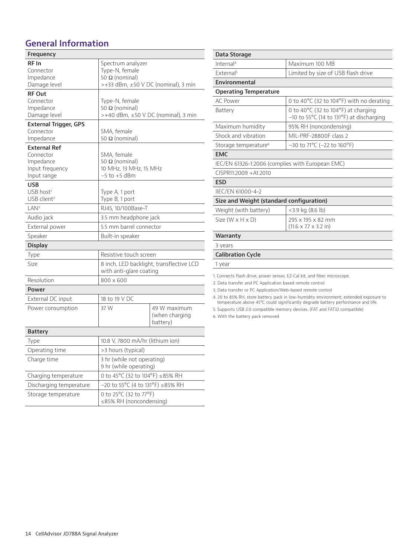#### **General Information**

| Frequency                                                                       |                                                                                |                                            |
|---------------------------------------------------------------------------------|--------------------------------------------------------------------------------|--------------------------------------------|
| RF In<br>Connector<br>Impedance<br>Damage level                                 | Spectrum analyzer<br>Type-N, female<br>50 Ω (nominal)                          | >+33 dBm, ±50 V DC (nominal), 3 min        |
| <b>RF Out</b><br>Connector<br>Impedance<br>Damage level                         | Type-N, female<br>50 Ω (nominal)<br>$>+40$ dBm, $\pm 50$ V DC (nominal), 3 min |                                            |
| <b>External Trigger, GPS</b><br>Connector<br>Impedance                          | SMA, female<br>50 Ω (nominal)                                                  |                                            |
| <b>External Ref</b><br>Connector<br>Impedance<br>Input frequency<br>Input range | SMA, female<br>50 Ω (nominal)<br>10 MHz, 13 MHz, 15 MHz<br>$-5$ to $+5$ dBm    |                                            |
| <b>USB</b><br>USB host <sup>1</sup><br>USB client <sup>2</sup>                  | Type A, 1 port<br>Type B, 1 port                                               |                                            |
| LAN <sup>3</sup>                                                                | RJ45, 10/100Base-T                                                             |                                            |
| Audio jack                                                                      | 3.5 mm headphone jack                                                          |                                            |
| External power                                                                  | 5.5 mm barrel connector                                                        |                                            |
| Speaker                                                                         | Built-in speaker                                                               |                                            |
| <b>Display</b>                                                                  |                                                                                |                                            |
| Type                                                                            | Resistive touch screen                                                         |                                            |
| Size                                                                            | 8 inch, LED backlight, transflective LCD<br>with anti-glare coating            |                                            |
| Resolution                                                                      | 800 x 600                                                                      |                                            |
| Power                                                                           |                                                                                |                                            |
| External DC input                                                               | 18 to 19 V DC                                                                  |                                            |
| Power consumption                                                               | 37 W                                                                           | 49 W maximum<br>(when charging<br>battery) |
| <b>Battery</b>                                                                  |                                                                                |                                            |
| Type                                                                            | 10.8 V, 7800 mA/hr (lithium ion)                                               |                                            |
| Operating time                                                                  | >3 hours (typical)                                                             |                                            |
| Charge time                                                                     | 3 hr (while not operating)<br>9 hr (while operating)                           |                                            |
| Charging temperature                                                            | 0 to 45°C (32 to 104°F) ≤85% RH                                                |                                            |
| Discharging temperature                                                         | -20 to 55°C (4 to 131°F) ≤85% RH                                               |                                            |
| Storage temperature                                                             | 0 to 25°C (32 to 77°F)<br>≤85% RH (noncondensing)                              |                                            |

| Data Storage                                                                                                            |                                                                                                                                                                           |
|-------------------------------------------------------------------------------------------------------------------------|---------------------------------------------------------------------------------------------------------------------------------------------------------------------------|
| Internal <sup>4</sup>                                                                                                   | Maximum 100 MB                                                                                                                                                            |
| Fxternal <sup>5</sup>                                                                                                   | Limited by size of USB flash drive                                                                                                                                        |
| Environmental                                                                                                           |                                                                                                                                                                           |
| <b>Operating Temperature</b>                                                                                            |                                                                                                                                                                           |
| AC Power                                                                                                                | 0 to 40°C (32 to 104°F) with no derating                                                                                                                                  |
| Battery                                                                                                                 | 0 to 40°C (32 to 104°F) at charging<br>-10 to 55°C (14 to 131°F) at discharging                                                                                           |
| Maximum humidity                                                                                                        | 95% RH (noncondensing)                                                                                                                                                    |
| Shock and vibration                                                                                                     | MIL-PRF-28800F class 2                                                                                                                                                    |
| Storage temperature <sup>6</sup>                                                                                        | $-30$ to 71°C (-22 to 160°F)                                                                                                                                              |
| <b>EMC</b>                                                                                                              |                                                                                                                                                                           |
|                                                                                                                         | IEC/EN 61326-1:2006 (complies with European EMC)                                                                                                                          |
| CISPR11:2009 +A1:2010                                                                                                   |                                                                                                                                                                           |
| <b>ESD</b>                                                                                                              |                                                                                                                                                                           |
| IIEC/EN 61000-4-2                                                                                                       |                                                                                                                                                                           |
| Size and Weight (standard configuration)                                                                                |                                                                                                                                                                           |
| Weight (with battery)                                                                                                   | $<$ 3.9 kg (8.6 lb)                                                                                                                                                       |
| Size $(W \times H \times D)$                                                                                            | 295 x 195 x 82 mm                                                                                                                                                         |
|                                                                                                                         | $(11.6 \times 7.7 \times 3.2)$ in)                                                                                                                                        |
| Warranty                                                                                                                |                                                                                                                                                                           |
| 3 years                                                                                                                 |                                                                                                                                                                           |
| <b>Calibration Cycle</b>                                                                                                |                                                                                                                                                                           |
| 1 year                                                                                                                  |                                                                                                                                                                           |
| 2. Data transfer and PC Application based remote control<br>3. Data transfer or PC Application/Web-based remote control | 1. Connects flash drive, power sensor, EZ-Cal kit, and fiber microscope.                                                                                                  |
|                                                                                                                         | 4. 20 to 85% RH, store battery pack in low-humidity environment; extended exposure to<br>temperature above 45°C could significantly degrade battery performance and life. |
|                                                                                                                         | 5. Supports USB 2.0 compatible memory devices. (FAT and FAT32 compatible)                                                                                                 |

6. With the battery pack removed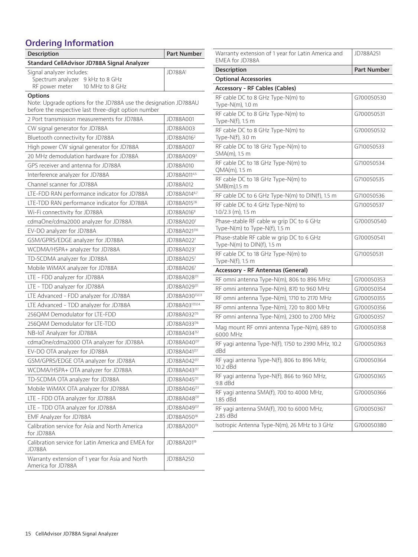# **Ordering Information**

| <b>Description</b>                                                                                                                         | Part Number               |  |
|--------------------------------------------------------------------------------------------------------------------------------------------|---------------------------|--|
| Standard CellAdvisor JD788A Signal Analyzer                                                                                                |                           |  |
| Signal analyzer includes:<br>Spectrum analyzer 9 kHz to 8 GHz<br>RF power meter<br>10 MHz to 8 GHz                                         | <b>JD788A</b>             |  |
| <b>Options</b><br>Note: Upgrade options for the JD788A use the designation JD788AU<br>before the respective last three-digit option number |                           |  |
| 2 Port transmission measurements for JD788A                                                                                                | JD788A001                 |  |
| CW signal generator for JD788A                                                                                                             | JD788A003                 |  |
| Bluetooth connectivity for JD788A                                                                                                          | JD788A016 <sup>2</sup>    |  |
| High power CW signal generator for JD788A                                                                                                  | JD788A007                 |  |
| 20 MHz demodulation hardware for JD788A                                                                                                    | JD788A009 <sup>3</sup>    |  |
| GPS receiver and antenna for JD788A                                                                                                        | JD788A010                 |  |
| Interference analyzer for JD788A                                                                                                           | JD788A0114,5              |  |
| Channel scanner for JD788A                                                                                                                 | JD788A012                 |  |
| LTE-FDD RAN performance indicator for JD788A                                                                                               | JD788A014 <sup>6,7</sup>  |  |
| LTE-TDD RAN performance indicator for JD788A                                                                                               | JD788A01578               |  |
| Wi-Fi connectivity for JD788A                                                                                                              | JD788A0169                |  |
| cdmaOne/cdma2000 analyzer for JD788A                                                                                                       | JD788A0207                |  |
| EV-DO analyzer for JD788A                                                                                                                  | JD788A0217,10             |  |
| GSM/GPRS/EDGE analyzer for JD788A                                                                                                          | JD788A0227                |  |
| WCDMA/HSPA+ analyzer for JD788A                                                                                                            | JD788A0237                |  |
| TD-SCDMA analyzer for JD788A                                                                                                               | JD788A0257                |  |
| Mobile WiMAX analyzer for JD788A                                                                                                           | JD788A0267                |  |
| LTE - FDD analyzer for JD788A                                                                                                              | JD788A028 <sup>7,11</sup> |  |
| LTE - TDD analyzer for JD788A                                                                                                              | JD788A029711              |  |
| LTE Advanced - FDD analyzer for JD788A                                                                                                     | JD788A0307,12,13          |  |
| LTE Advanced - TDD analyzer for JD788A                                                                                                     | JD788A0317,13,14          |  |
| 256QAM Demodulator for LTE-FDD                                                                                                             | JD788A0327,15             |  |
| 256QAM Demodulator for LTE-TDD                                                                                                             | JD788A033716              |  |
| NB-IoT Analyzer for JD788A                                                                                                                 | JD788A034712              |  |
| cdmaOne/cdma2000 OTA analyzer for JD788A                                                                                                   | JD788A040 <sup>7,17</sup> |  |
| EV-DO OTA analyzer for JD788A                                                                                                              | JD788A0417,17             |  |
| GSM/GPRS/EDGE OTA analyzer for JD788A                                                                                                      | JD788A0427,17             |  |
| WCDMA/HSPA+ OTA analyzer for JD788A                                                                                                        | JD788A043717              |  |
| TD-SCDMA OTA analyzer for JD788A                                                                                                           | JD788A0457,17             |  |
| Mobile WiMAX OTA analyzer for JD788A                                                                                                       | JD788A046717              |  |
| LTE - FDD OTA analyzer for JD788A                                                                                                          | JD788A048 <sup>7,17</sup> |  |
| LTE - TDD OTA analyzer for JD788A                                                                                                          | JD788A049717              |  |
| EMF Analyzer for JD788A                                                                                                                    | JD788A050 <sup>18</sup>   |  |
| Calibration service for Asia and North America<br>for JD788A                                                                               | JD788A200 <sup>19</sup>   |  |
| Calibration service for Latin America and EMEA for<br><b>JD788A</b>                                                                        | JD788A201 <sup>19</sup>   |  |
| Warranty extension of 1 year for Asia and North<br>America for JD788A                                                                      | JD788A250                 |  |

| Warranty extension of 1 year for Latin America and<br>EMEA for JD788A     | JD788A251          |
|---------------------------------------------------------------------------|--------------------|
| <b>Description</b>                                                        | <b>Part Number</b> |
| <b>Optional Accessories</b>                                               |                    |
| <b>Accessory - RF Cables (Cables)</b>                                     |                    |
| RF cable DC to 8 GHz Type-N(m) to<br>Type-N(m), 1.0 m                     | G700050530         |
| RF cable DC to 8 GHz Type-N(m) to<br>Type-N(f), 1.5 m                     | G700050531         |
| RF cable DC to 8 GHz Type-N(m) to<br>Type-N(f), 3.0 m                     | G700050532         |
| RF cable DC to 18 GHz Type-N(m) to<br>SMA(m), 1.5 m                       | G710050533         |
| RF cable DC to 18 GHz Type-N(m) to<br>QMA(m), 1.5 m                       | G710050534         |
| RF cable DC to 18 GHz Type-N(m) to<br>SMB(m),1.5 m                        | G710050535         |
| RF cable DC to 6 GHz Type-N(m) to DIN(f), 1.5 m                           | G710050536         |
| RF cable DC to 4 GHz Type-N(m) to<br>$1.0/2.3$ (m), $1.5$ m               | G710050537         |
| Phase-stable RF cable w grip DC to 6 GHz<br>Type-N(m) to Type-N(f), 1.5 m | G700050540         |
| Phase-stable RF cable w grip DC to 6 GHz<br>Type-N(m) to DIN(f), 1.5 m    | G700050541         |
| RF cable DC to 18 GHz Type-N(m) to<br>Type-N(f), 1.5 m                    | G710050531         |
| Accessory - RF Antennas (General)                                         |                    |
| RF omni antenna Type-N(m), 806 to 896 MHz                                 | G700050353         |
| RF omni antenna Type-N(m), 870 to 960 MHz                                 | G700050354         |
| RF omni antenna Type-N(m), 1710 to 2170 MHz                               | G700050355         |
| RF omni antenna Type-N(m), 720 to 800 MHz                                 | G700050356         |
| RF omni antenna Type-N(m), 2300 to 2700 MHz                               | G700050357         |
| Mag mount RF omni antenna Type-N(m), 689 to<br>6000 MHz                   | G700050358         |
| RF yagi antenna Type-N(f), 1750 to 2390 MHz, 10.2<br>dBd                  | G700050363         |
| RF yagi antenna Type-N(f), 806 to 896 MHz,<br>10.2 dBd                    | G700050364         |
| RF yagi antenna Type-N(f), 866 to 960 MHz,<br>9.8 dBd                     | G700050365         |
| RF yagi antenna SMA(f), 700 to 4000 MHz,<br>1.85 dBd                      | G700050366         |
| RF yagi antenna SMA(f), 700 to 6000 MHz,<br>2.85 dBd                      | G700050367         |
| Isotropic Antenna Type-N(m), 26 MHz to 3 GHz                              | G700050380         |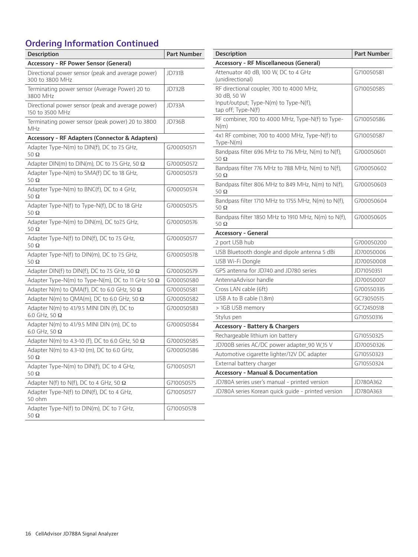# **Ordering Information Continued**

| Description                                                          | <b>Part Number</b> |  |
|----------------------------------------------------------------------|--------------------|--|
| Accessory - RF Power Sensor (General)                                |                    |  |
| Directional power sensor (peak and average power)<br>300 to 3800 MHz | <b>JD731B</b>      |  |
| Terminating power sensor (Average Power) 20 to<br>3800 MHz           | <b>JD732B</b>      |  |
| Directional power sensor (peak and average power)<br>150 to 3500 MHz | JD733A             |  |
| Terminating power sensor (peak power) 20 to 3800<br>MHz              | <b>JD736B</b>      |  |
| <b>Accessory - RF Adapters (Connector &amp; Adapters)</b>            |                    |  |
| Adapter Type-N(m) to DIN(f), DC to 7.5 GHz,<br>$50\ \Omega$          | G700050571         |  |
| Adapter DIN(m) to DIN(m), DC to 7.5 GHz, 50 $\Omega$                 | G700050572         |  |
| Adapter Type-N(m) to SMA(f) DC to 18 GHz,<br>50 $\Omega$             | G700050573         |  |
| Adapter Type-N(m) to BNC(f), DC to 4 GHz,<br>50 $\Omega$             | G700050574         |  |
| Adapter Type-N(f) to Type-N(f), DC to 18 GHz<br>50 $\Omega$          | G700050575         |  |
| Adapter Type-N(m) to DIN(m), DC to7.5 GHz,<br>50 $\Omega$            | G700050576         |  |
| Adapter Type-N(f) to DIN(f), DC to 7.5 GHz,<br>$50\ \Omega$          | G700050577         |  |
| Adapter Type-N(f) to DIN(m), DC to 7.5 GHz,<br>50 $\Omega$           | G700050578         |  |
| Adapter DIN(f) to DIN(f), DC to 7.5 GHz, 50 $\Omega$                 | G700050579         |  |
| Adapter Type-N(m) to Type-N(m), DC to 11 GHz 50 $\Omega$             | G700050580         |  |
| Adapter N(m) to QMA(f), DC to 6.0 GHz, 50 $\Omega$                   | G700050581         |  |
| Adapter N(m) to QMA(m), DC to 6.0 GHz, 50 $\Omega$                   | G700050582         |  |
| Adapter N(m) to 4.1/9.5 MINI DIN (f), DC to<br>6.0 GHz, 50 $\Omega$  | G700050583         |  |
| Adapter N(m) to 4.1/9.5 MINI DIN (m), DC to<br>6.0 GHz, 50 $\Omega$  | G700050584         |  |
| Adapter N(m) to 4.3-10 (f), DC to 6.0 GHz, 50 $\Omega$               | G700050585         |  |
| Adapter N(m) to 4.3-10 (m), DC to 6.0 GHz,<br>50 Ω                   | G700050586         |  |
| Adapter Type-N(m) to DIN(f), DC to 4 GHz,<br>50 $\Omega$             | G710050571         |  |
| Adapter N(f) to N(f), DC to 4 GHz, 50 $\Omega$                       | G710050575         |  |
| Adapter Type-N(f) to DIN(f), DC to 4 GHz,<br>50 ohm                  | G710050577         |  |
| Adapter Type-N(f) to DIN(m), DC to 7 GHz,<br>$50\ \Omega$            | G710050578         |  |

| <b>Description</b>                                                 | Part Number |
|--------------------------------------------------------------------|-------------|
| <b>Accessory - RF Miscellaneous (General)</b>                      |             |
| Attenuator 40 dB, 100 W, DC to 4 GHz<br>(unidirectional)           | G710050581  |
| RF directional coupler, 700 to 4000 MHz,                           | G710050585  |
| 30 dB, 50 W<br>Input/output; Type-N(m) to Type-N(f),               |             |
| tap off; Type-N(f)                                                 |             |
| RF combiner, 700 to 4000 MHz, Type-N(f) to Type-<br>N(m)           | G710050586  |
| 4x1 RF combiner, 700 to 4000 MHz, Type-N(f) to<br>Type-N(m)        | G710050587  |
| Bandpass filter 696 MHz to 716 MHz, N(m) to N(f),<br>$50\ \Omega$  | G700050601  |
| Bandpass filter 776 MHz to 788 MHz, N(m) to N(f),<br>50 Ω          | G700050602  |
| Bandpass filter 806 MHz to 849 MHz, N(m) to N(f),<br>50 $\Omega$   | G700050603  |
| Bandpass filter 1710 MHz to 1755 MHz, N(m) to N(f),<br>50 $\Omega$ | G700050604  |
| Bandpass filter 1850 MHz to 1910 MHz, N(m) to N(f),<br>50 $\Omega$ | G700050605  |
| Accessory - General                                                |             |
| 2 port USB hub                                                     | G700050200  |
| USB Bluetooth dongle and dipole antenna 5 dBi                      | JD70050006  |
| USB Wi-Fi Dongle                                                   | JD70050008  |
| GPS antenna for JD740 and JD780 series                             | JD71050351  |
| AntennaAdvisor handle                                              | JD70050007  |
| Cross LAN cable (6ft)                                              | G700550335  |
| USB A to B cable (1.8m)                                            | GC73050515  |
| > 1GB USB memory                                                   | GC72450518  |
| Stylus pen                                                         | G710550316  |
| <b>Accessory - Battery &amp; Chargers</b>                          |             |
| Rechargeable lithium ion battery                                   | G710550325  |
| JD700B series AC/DC power adapter_90 W_15 V                        | JD70050326  |
| Automotive cigarette lighter/12V DC adapter                        | G710550323  |
| External battery charger                                           | G710550324  |
| <b>Accessory - Manual &amp; Documentation</b>                      |             |
| JD780A series user's manual - printed version                      | JD780A362   |
| JD780A series Korean quick quide - printed version                 | JD780A363   |